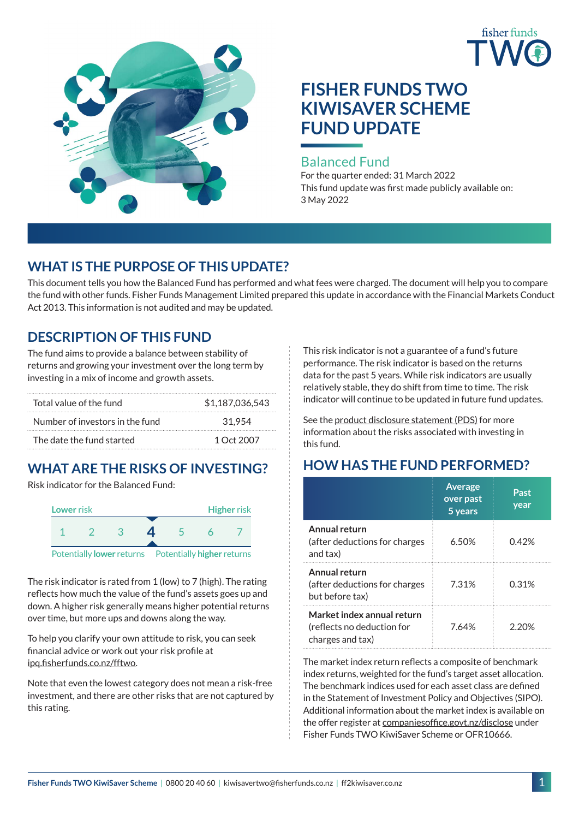



# **FISHER FUNDS TWO KIWISAVER SCHEME FUND UPDATE**

## Balanced Fund

For the quarter ended: 31 March 2022 This fund update was first made publicly available on: 3 May 2022

# **WHAT IS THE PURPOSE OF THIS UPDATE?**

This document tells you how the Balanced Fund has performed and what fees were charged. The document will help you to compare the fund with other funds. Fisher Funds Management Limited prepared this update in accordance with the Financial Markets Conduct Act 2013. This information is not audited and may be updated.

# **DESCRIPTION OF THIS FUND**

The fund aims to provide a balance between stability of returns and growing your investment over the long term by investing in a mix of income and growth assets.

| Total value of the fund         | \$1.187.036.543 |  |  |
|---------------------------------|-----------------|--|--|
| Number of investors in the fund | 31.954          |  |  |
| The date the fund started       | 1 Oct 2007      |  |  |

# **WHAT ARE THE RISKS OF INVESTING?**

Risk indicator for the Balanced Fund:



The risk indicator is rated from 1 (low) to 7 (high). The rating reflects how much the value of the fund's assets goes up and down. A higher risk generally means higher potential returns over time, but more ups and downs along the way.

To help you clarify your own attitude to risk, you can seek financial advice or work out your risk profile at [ipq.fisherfunds.co.nz/fftwo](https://ipq.fisherfunds.co.nz/fftwo).

Note that even the lowest category does not mean a risk-free investment, and there are other risks that are not captured by this rating.

This risk indicator is not a guarantee of a fund's future performance. The risk indicator is based on the returns data for the past 5 years. While risk indicators are usually relatively stable, they do shift from time to time. The risk indicator will continue to be updated in future fund updates.

See the [product disclosure statement \(PDS\)](http://ff2kiwisaver.co.nz/assets/Documents/Fisher-Funds-TWO-KiwiSaver-Scheme-PDS.pdf) for more information about the risks associated with investing in this fund.

# **HOW HAS THE FUND PERFORMED?**

|                                                                              | <b>Average</b><br>over past<br>5 years | Past<br>year |
|------------------------------------------------------------------------------|----------------------------------------|--------------|
| Annual return<br>(after deductions for charges<br>and tax)                   | 6.50%                                  | 0.42%        |
| Annual return<br>(after deductions for charges<br>but before tax)            | 7.31%                                  | 0.31%        |
| Market index annual return<br>(reflects no deduction for<br>charges and tax) | 7.64%                                  | 2 20%        |

The market index return reflects a composite of benchmark index returns, weighted for the fund's target asset allocation. The benchmark indices used for each asset class are defined in the Statement of Investment Policy and Objectives (SIPO). Additional information about the market index is available on the offer register at [companiesoffice.govt.nz/disclose](http://companiesoffice.govt.nz/disclose) under Fisher Funds TWO KiwiSaver Scheme or OFR10666.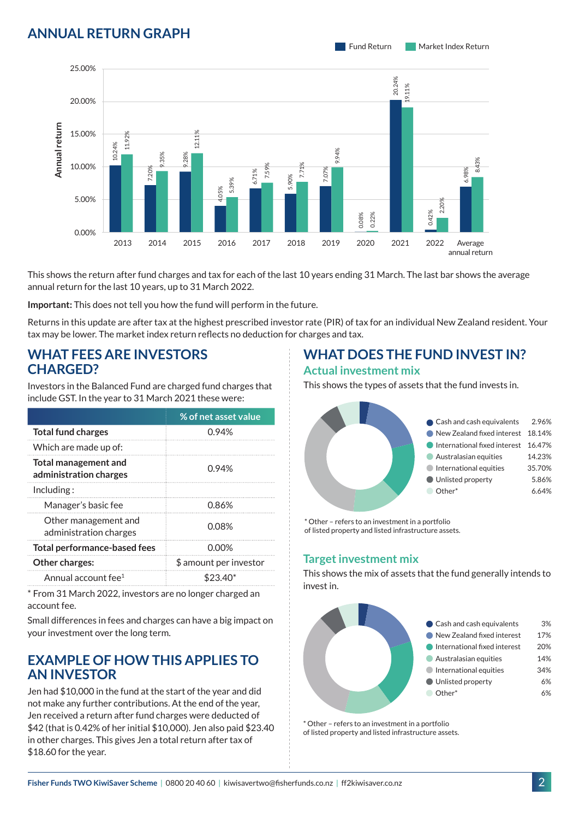## **ANNUAL RETURN GRAPH**





This shows the return after fund charges and tax for each of the last 10 years ending 31 March. The last bar shows the average annual return for the last 10 years, up to 31 March 2022.

**Important:** This does not tell you how the fund will perform in the future.

Returns in this update are after tax at the highest prescribed investor rate (PIR) of tax for an individual New Zealand resident. Your tax may be lower. The market index return reflects no deduction for charges and tax.

#### **WHAT FEES ARE INVESTORS CHARGED?**

Investors in the Balanced Fund are charged fund charges that include GST. In the year to 31 March 2021 these were:

|                                                       | % of net asset value   |
|-------------------------------------------------------|------------------------|
| <b>Total fund charges</b>                             | 0.94%                  |
| Which are made up of:                                 |                        |
| <b>Total management and</b><br>administration charges | 0.94%                  |
| Inding:                                               |                        |
| Manager's basic fee                                   | 0.86%                  |
| Other management and<br>administration charges        | 0.08%                  |
| <b>Total performance-based fees</b>                   | 0.00%                  |
| <b>Other charges:</b>                                 | \$ amount per investor |
| Annual account fee <sup>1</sup>                       | $$23.40*$              |

\* From 31 March 2022, investors are no longer charged an account fee.

Small differences in fees and charges can have a big impact on your investment over the long term.

### **EXAMPLE OF HOW THIS APPLIES TO AN INVESTOR**

Jen had \$10,000 in the fund at the start of the year and did not make any further contributions. At the end of the year, Jen received a return after fund charges were deducted of \$42 (that is 0.42% of her initial \$10,000). Jen also paid \$23.40 in other charges. This gives Jen a total return after tax of \$18.60 for the year.

#### **WHAT DOES THE FUND INVEST IN? Actual investment mix**

This shows the types of assets that the fund invests in.



\* Other – refers to an investment in a portfolio of listed property and listed infrastructure assets.

#### **Target investment mix**

This shows the mix of assets that the fund generally intends to invest in.



\* Other – refers to an investment in a portfolio of listed property and listed infrastructure assets.